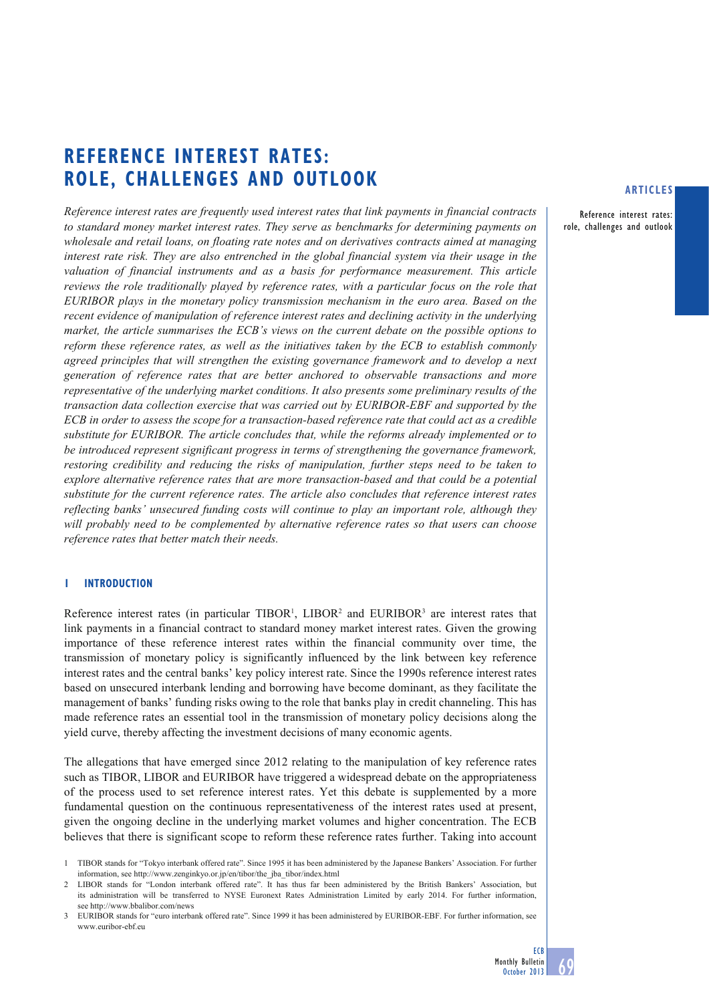# **REFERENCE INTEREST RATES: ROLE, CHALLENGES AND OUTLOOK**

*Reference interest rates are frequently used interest rates that link payments in financial contracts to standard money market interest rates. They serve as benchmarks for determining payments on wholesale and retail loans, on floating rate notes and on derivatives contracts aimed at managing interest rate risk. They are also entrenched in the global financial system via their usage in the valuation of financial instruments and as a basis for performance measurement. This article reviews the role traditionally played by reference rates, with a particular focus on the role that EURIBOR plays in the monetary policy transmission mechanism in the euro area. Based on the recent evidence of manipulation of reference interest rates and declining activity in the underlying market, the article summarises the ECB's views on the current debate on the possible options to reform these reference rates, as well as the initiatives taken by the ECB to establish commonly agreed principles that will strengthen the existing governance framework and to develop a next generation of reference rates that are better anchored to observable transactions and more representative of the underlying market conditions. It also presents some preliminary results of the transaction data collection exercise that was carried out by EURIBOR-EBF and supported by the ECB in order to assess the scope for a transaction-based reference rate that could act as a credible substitute for EURIBOR. The article concludes that, while the reforms already implemented or to be introduced represent significant progress in terms of strengthening the governance framework, restoring credibility and reducing the risks of manipulation, further steps need to be taken to explore alternative reference rates that are more transaction-based and that could be a potential substitute for the current reference rates. The article also concludes that reference interest rates reflecting banks' unsecured funding costs will continue to play an important role, although they will probably need to be complemented by alternative reference rates so that users can choose reference rates that better match their needs.* 

# **1 INTRODUCTION**

Reference interest rates (in particular TIBOR<sup>1</sup>, LIBOR<sup>2</sup> and EURIBOR<sup>3</sup> are interest rates that link payments in a financial contract to standard money market interest rates. Given the growing importance of these reference interest rates within the financial community over time, the transmission of monetary policy is significantly influenced by the link between key reference interest rates and the central banks' key policy interest rate. Since the 1990s reference interest rates based on unsecured interbank lending and borrowing have become dominant, as they facilitate the management of banks' funding risks owing to the role that banks play in credit channeling. This has made reference rates an essential tool in the transmission of monetary policy decisions along the yield curve, thereby affecting the investment decisions of many economic agents.

The allegations that have emerged since 2012 relating to the manipulation of key reference rates such as TIBOR, LIBOR and EURIBOR have triggered a widespread debate on the appropriateness of the process used to set reference interest rates. Yet this debate is supplemented by a more fundamental question on the continuous representativeness of the interest rates used at present, given the ongoing decline in the underlying market volumes and higher concentration. The ECB believes that there is significant scope to reform these reference rates further. Taking into account

## **ARTICLES**

Reference interest rates: role, challenges and outlook

<sup>1</sup> TIBOR stands for "Tokyo interbank offered rate". Since 1995 it has been administered by the Japanese Bankers' Association. For further information, see http://www.zenginkyo.or.jp/en/tibor/the\_jba\_tibor/index.html

<sup>2</sup> LIBOR stands for "London interbank offered rate". It has thus far been administered by the British Bankers' Association, but its administration will be transferred to NYSE Euronext Rates Administration Limited by early 2014. For further information, see http://www.bbalibor.com/news

<sup>3</sup> EURIBOR stands for "euro interbank offered rate". Since 1999 it has been administered by EURIBOR-EBF. For further information, see www.euribor-ebf.eu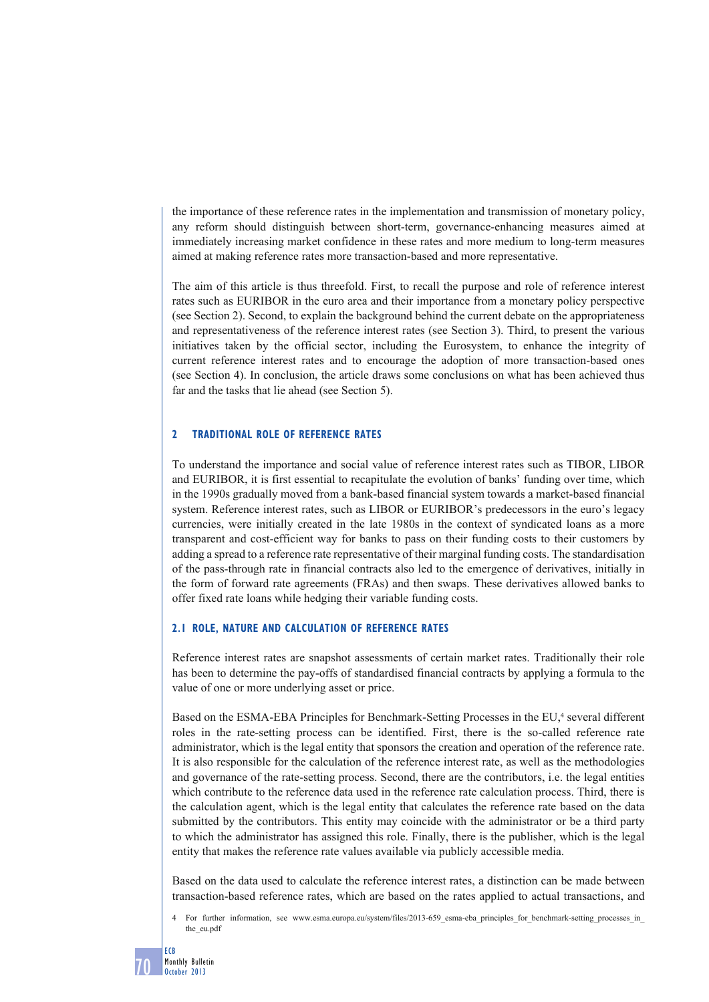the importance of these reference rates in the implementation and transmission of monetary policy, any reform should distinguish between short-term, governance-enhancing measures aimed at immediately increasing market confidence in these rates and more medium to long-term measures aimed at making reference rates more transaction-based and more representative.

The aim of this article is thus threefold. First, to recall the purpose and role of reference interest rates such as EURIBOR in the euro area and their importance from a monetary policy perspective (see Section 2). Second, to explain the background behind the current debate on the appropriateness and representativeness of the reference interest rates (see Section 3). Third, to present the various initiatives taken by the official sector, including the Eurosystem, to enhance the integrity of current reference interest rates and to encourage the adoption of more transaction-based ones (see Section 4). In conclusion, the article draws some conclusions on what has been achieved thus far and the tasks that lie ahead (see Section 5).

# **2 TRADITIONAL ROLE OF REFERENCE RATES**

To understand the importance and social value of reference interest rates such as TIBOR, LIBOR and EURIBOR, it is first essential to recapitulate the evolution of banks' funding over time, which in the 1990s gradually moved from a bank-based financial system towards a market-based financial system. Reference interest rates, such as LIBOR or EURIBOR's predecessors in the euro's legacy currencies, were initially created in the late 1980s in the context of syndicated loans as a more transparent and cost-efficient way for banks to pass on their funding costs to their customers by adding a spread to a reference rate representative of their marginal funding costs. The standardisation of the pass-through rate in financial contracts also led to the emergence of derivatives, initially in the form of forward rate agreements (FRAs) and then swaps. These derivatives allowed banks to offer fixed rate loans while hedging their variable funding costs.

# **2.1 ROLE, NATURE AND CALCULATION OF REFERENCE RATES**

Reference interest rates are snapshot assessments of certain market rates. Traditionally their role has been to determine the pay-offs of standardised financial contracts by applying a formula to the value of one or more underlying asset or price.

Based on the ESMA-EBA Principles for Benchmark-Setting Processes in the EU,<sup>4</sup> several different roles in the rate-setting process can be identified. First, there is the so-called reference rate administrator, which is the legal entity that sponsors the creation and operation of the reference rate. It is also responsible for the calculation of the reference interest rate, as well as the methodologies and governance of the rate-setting process. Second, there are the contributors, i.e. the legal entities which contribute to the reference data used in the reference rate calculation process. Third, there is the calculation agent, which is the legal entity that calculates the reference rate based on the data submitted by the contributors. This entity may coincide with the administrator or be a third party to which the administrator has assigned this role. Finally, there is the publisher, which is the legal entity that makes the reference rate values available via publicly accessible media.

Based on the data used to calculate the reference interest rates, a distinction can be made between transaction-based reference rates, which are based on the rates applied to actual transactions, and

<sup>4</sup> For further information, see www.esma.europa.eu/system/files/2013-659\_esma-eba\_principles\_for\_benchmark-setting\_processes\_in\_ the\_eu.pdf

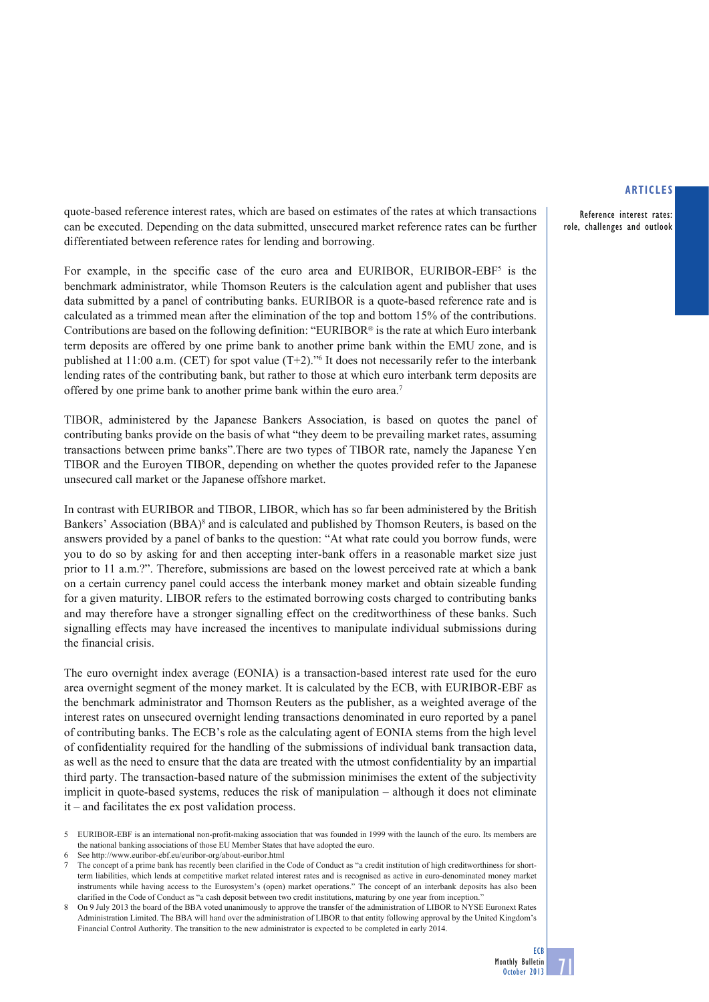Reference interest rates: role, challenges and outlook

quote-based reference interest rates, which are based on estimates of the rates at which transactions can be executed. Depending on the data submitted, unsecured market reference rates can be further differentiated between reference rates for lending and borrowing.

For example, in the specific case of the euro area and EURIBOR, EURIBOR-EBF<sup>5</sup> is the benchmark administrator, while Thomson Reuters is the calculation agent and publisher that uses data submitted by a panel of contributing banks. EURIBOR is a quote-based reference rate and is calculated as a trimmed mean after the elimination of the top and bottom 15% of the contributions. Contributions are based on the following definition: "EURIBOR® is the rate at which Euro interbank term deposits are offered by one prime bank to another prime bank within the EMU zone, and is published at 11:00 a.m. (CET) for spot value (T+2)."6 It does not necessarily refer to the interbank lending rates of the contributing bank, but rather to those at which euro interbank term deposits are offered by one prime bank to another prime bank within the euro area.7

TIBOR, administered by the Japanese Bankers Association, is based on quotes the panel of contributing banks provide on the basis of what "they deem to be prevailing market rates, assuming transactions between prime banks".There are two types of TIBOR rate, namely the Japanese Yen TIBOR and the Euroyen TIBOR, depending on whether the quotes provided refer to the Japanese unsecured call market or the Japanese offshore market.

In contrast with EURIBOR and TIBOR, LIBOR, which has so far been administered by the British Bankers' Association (BBA)<sup>8</sup> and is calculated and published by Thomson Reuters, is based on the answers provided by a panel of banks to the question: "At what rate could you borrow funds, were you to do so by asking for and then accepting inter-bank offers in a reasonable market size just prior to 11 a.m.?". Therefore, submissions are based on the lowest perceived rate at which a bank on a certain currency panel could access the interbank money market and obtain sizeable funding for a given maturity. LIBOR refers to the estimated borrowing costs charged to contributing banks and may therefore have a stronger signalling effect on the creditworthiness of these banks. Such signalling effects may have increased the incentives to manipulate individual submissions during the financial crisis.

The euro overnight index average (EONIA) is a transaction-based interest rate used for the euro area overnight segment of the money market. It is calculated by the ECB, with EURIBOR-EBF as the benchmark administrator and Thomson Reuters as the publisher, as a weighted average of the interest rates on unsecured overnight lending transactions denominated in euro reported by a panel of contributing banks. The ECB's role as the calculating agent of EONIA stems from the high level of confidentiality required for the handling of the submissions of individual bank transaction data, as well as the need to ensure that the data are treated with the utmost confidentiality by an impartial third party. The transaction-based nature of the submission minimises the extent of the subjectivity implicit in quote-based systems, reduces the risk of manipulation – although it does not eliminate it – and facilitates the ex post validation process.

5 EURIBOR-EBF is an international non-profit-making association that was founded in 1999 with the launch of the euro. Its members are the national banking associations of those EU Member States that have adopted the euro.

See http://www.euribor-ebf.eu/euribor-org/about-euribor.html

<sup>7</sup> The concept of a prime bank has recently been clarified in the Code of Conduct as "a credit institution of high creditworthiness for shortterm liabilities, which lends at competitive market related interest rates and is recognised as active in euro-denominated money market instruments while having access to the Eurosystem's (open) market operations." The concept of an interbank deposits has also been clarified in the Code of Conduct as "a cash deposit between two credit institutions, maturing by one year from inception."

<sup>8</sup> On 9 July 2013 the board of the BBA voted unanimously to approve the transfer of the administration of LIBOR to NYSE Euronext Rates Administration Limited. The BBA will hand over the administration of LIBOR to that entity following approval by the United Kingdom's Financial Control Authority. The transition to the new administrator is expected to be completed in early 2014.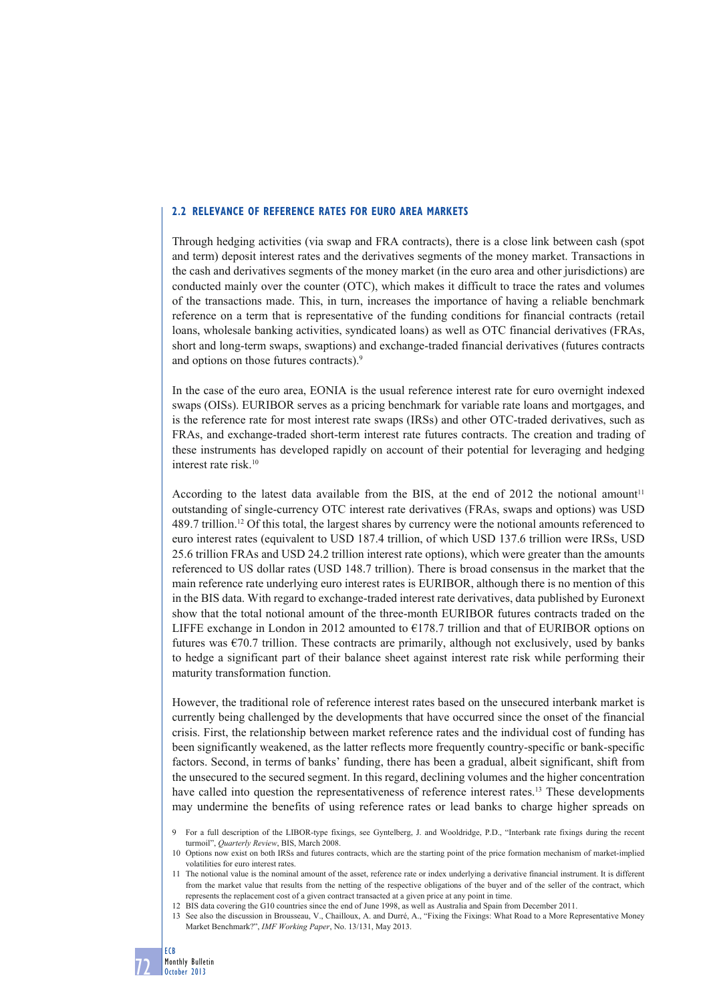#### **2.2 RELEVANCE OF REFERENCE RATES FOR EURO AREA MARKETS**

Through hedging activities (via swap and FRA contracts), there is a close link between cash (spot and term) deposit interest rates and the derivatives segments of the money market. Transactions in the cash and derivatives segments of the money market (in the euro area and other jurisdictions) are conducted mainly over the counter (OTC), which makes it difficult to trace the rates and volumes of the transactions made. This, in turn, increases the importance of having a reliable benchmark reference on a term that is representative of the funding conditions for financial contracts (retail loans, wholesale banking activities, syndicated loans) as well as OTC financial derivatives (FRAs, short and long-term swaps, swaptions) and exchange-traded financial derivatives (futures contracts and options on those futures contracts).9

In the case of the euro area, EONIA is the usual reference interest rate for euro overnight indexed swaps (OISs). EURIBOR serves as a pricing benchmark for variable rate loans and mortgages, and is the reference rate for most interest rate swaps (IRSs) and other OTC-traded derivatives, such as FRAs, and exchange-traded short-term interest rate futures contracts. The creation and trading of these instruments has developed rapidly on account of their potential for leveraging and hedging interest rate risk.10

According to the latest data available from the BIS, at the end of 2012 the notional amount<sup>11</sup> outstanding of single-currency OTC interest rate derivatives (FRAs, swaps and options) was USD 489.7 trillion.12 Of this total, the largest shares by currency were the notional amounts referenced to euro interest rates (equivalent to USD 187.4 trillion, of which USD 137.6 trillion were IRSs, USD 25.6 trillion FRAs and USD 24.2 trillion interest rate options), which were greater than the amounts referenced to US dollar rates (USD 148.7 trillion). There is broad consensus in the market that the main reference rate underlying euro interest rates is EURIBOR, although there is no mention of this in the BIS data. With regard to exchange-traded interest rate derivatives, data published by Euronext show that the total notional amount of the three-month EURIBOR futures contracts traded on the LIFFE exchange in London in 2012 amounted to  $E178.7$  trillion and that of EURIBOR options on futures was €70.7 trillion. These contracts are primarily, although not exclusively, used by banks to hedge a significant part of their balance sheet against interest rate risk while performing their maturity transformation function.

However, the traditional role of reference interest rates based on the unsecured interbank market is currently being challenged by the developments that have occurred since the onset of the financial crisis. First, the relationship between market reference rates and the individual cost of funding has been significantly weakened, as the latter reflects more frequently country-specific or bank-specific factors. Second, in terms of banks' funding, there has been a gradual, albeit significant, shift from the unsecured to the secured segment. In this regard, declining volumes and the higher concentration have called into question the representativeness of reference interest rates.<sup>13</sup> These developments may undermine the benefits of using reference rates or lead banks to charge higher spreads on

12 BIS data covering the G10 countries since the end of June 1998, as well as Australia and Spain from December 2011.

<sup>9</sup> For a full description of the LIBOR-type fixings, see Gyntelberg, J. and Wooldridge, P.D., "Interbank rate fixings during the recent turmoil", *Quarterly Review*, BIS, March 2008.

<sup>10</sup> Options now exist on both IRSs and futures contracts, which are the starting point of the price formation mechanism of market-implied volatilities for euro interest rates

<sup>11</sup> The notional value is the nominal amount of the asset, reference rate or index underlying a derivative financial instrument. It is different from the market value that results from the netting of the respective obligations of the buyer and of the seller of the contract, which represents the replacement cost of a given contract transacted at a given price at any point in time.

<sup>13</sup> See also the discussion in Brousseau, V., Chailloux, A. and Durré, A., "Fixing the Fixings: What Road to a More Representative Money Market Benchmark?", *IMF Working Paper*, No. 13/131, May 2013.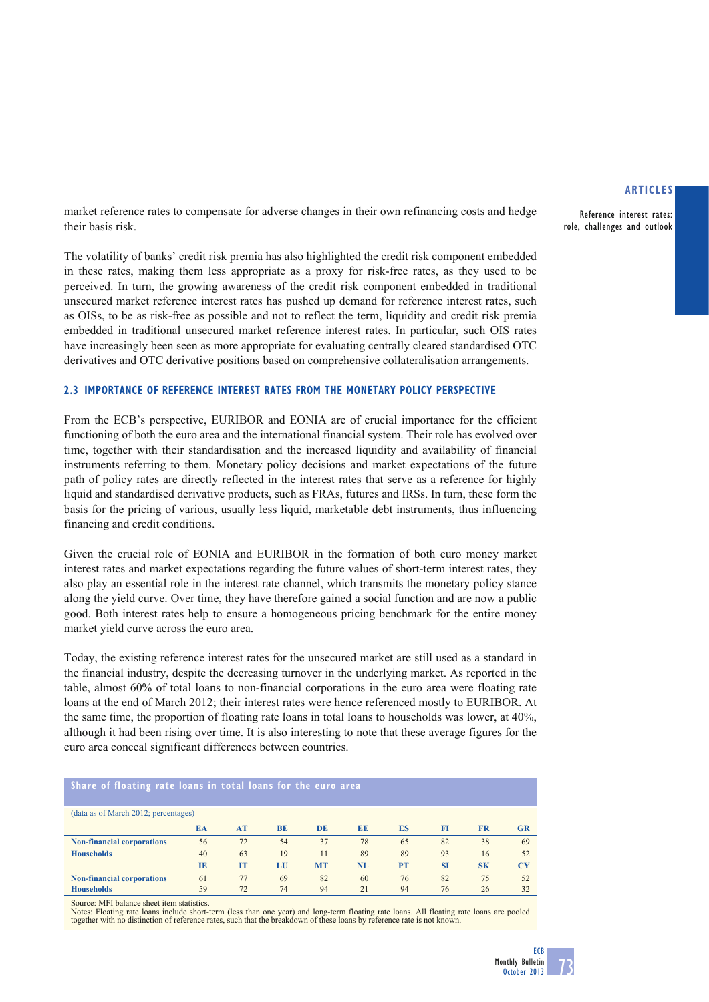Reference interest rates: role, challenges and outlook

market reference rates to compensate for adverse changes in their own refinancing costs and hedge their basis risk.

The volatility of banks' credit risk premia has also highlighted the credit risk component embedded in these rates, making them less appropriate as a proxy for risk-free rates, as they used to be perceived. In turn, the growing awareness of the credit risk component embedded in traditional unsecured market reference interest rates has pushed up demand for reference interest rates, such as OISs, to be as risk-free as possible and not to reflect the term, liquidity and credit risk premia embedded in traditional unsecured market reference interest rates. In particular, such OIS rates have increasingly been seen as more appropriate for evaluating centrally cleared standardised OTC derivatives and OTC derivative positions based on comprehensive collateralisation arrangements.

# **2.3 IMPORTANCE OF REFERENCE INTEREST RATES FROM THE MONETARY POLICY PERSPECTIVE**

From the ECB's perspective, EURIBOR and EONIA are of crucial importance for the efficient functioning of both the euro area and the international financial system. Their role has evolved over time, together with their standardisation and the increased liquidity and availability of financial instruments referring to them. Monetary policy decisions and market expectations of the future path of policy rates are directly reflected in the interest rates that serve as a reference for highly liquid and standardised derivative products, such as FRAs, futures and IRSs. In turn, these form the basis for the pricing of various, usually less liquid, marketable debt instruments, thus influencing financing and credit conditions.

Given the crucial role of EONIA and EURIBOR in the formation of both euro money market interest rates and market expectations regarding the future values of short-term interest rates, they also play an essential role in the interest rate channel, which transmits the monetary policy stance along the yield curve. Over time, they have therefore gained a social function and are now a public good. Both interest rates help to ensure a homogeneous pricing benchmark for the entire money market yield curve across the euro area.

Today, the existing reference interest rates for the unsecured market are still used as a standard in the financial industry, despite the decreasing turnover in the underlying market. As reported in the table, almost 60% of total loans to non-financial corporations in the euro area were floating rate loans at the end of March 2012; their interest rates were hence referenced mostly to EURIBOR. At the same time, the proportion of floating rate loans in total loans to households was lower, at 40%, although it had been rising over time. It is also interesting to note that these average figures for the euro area conceal significant differences between countries.

| Share of floating rate loans in total loans for the euro area |     |           |           |           |           |           |           |           |           |
|---------------------------------------------------------------|-----|-----------|-----------|-----------|-----------|-----------|-----------|-----------|-----------|
| (data as of March 2012; percentages)                          |     |           |           |           |           |           |           |           |           |
|                                                               | EA  | AT        | <b>BE</b> | <b>DE</b> | <b>EE</b> | <b>ES</b> | <b>FI</b> | <b>FR</b> | GR        |
| <b>Non-financial corporations</b>                             | 56  | 72        | 54        | 37        | 78        | 65        | 82        | 38        | 69        |
| <b>Households</b>                                             | 40  | 63        | 19        |           | 89        | 89        | 93        | 16        | 52        |
|                                                               | TE. | <b>IT</b> | LU        | <b>MT</b> | NL        | <b>PT</b> | <b>SI</b> | <b>SK</b> | <b>CY</b> |
| <b>Non-financial corporations</b>                             | 61  | 77        | 69        | 82        | 60        | 76        | 82        | 75        | 52        |
| <b>Households</b>                                             | 59  | 72        | 74        | 94        | 21        | 94        | 76        | 26        | 32        |

Source: MFI balance sheet item statistics.

Notes: Floating rate loans include short-term (less than one year) and long-term floating rate loans. All floating rate loans are pooled together with no distinction of reference rates, such that the breakdown of these loans by reference rate is not known.

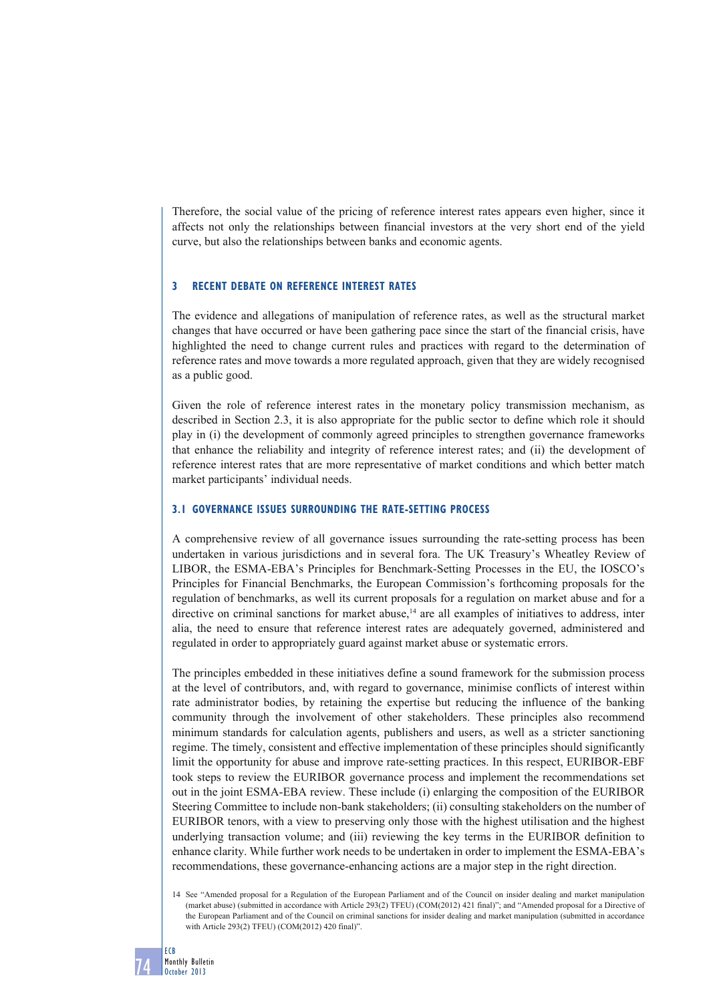Therefore, the social value of the pricing of reference interest rates appears even higher, since it affects not only the relationships between financial investors at the very short end of the yield curve, but also the relationships between banks and economic agents.

## **3 RECENT DEBATE ON REFERENCE INTEREST RATES**

The evidence and allegations of manipulation of reference rates, as well as the structural market changes that have occurred or have been gathering pace since the start of the financial crisis, have highlighted the need to change current rules and practices with regard to the determination of reference rates and move towards a more regulated approach, given that they are widely recognised as a public good.

Given the role of reference interest rates in the monetary policy transmission mechanism, as described in Section 2.3, it is also appropriate for the public sector to define which role it should play in (i) the development of commonly agreed principles to strengthen governance frameworks that enhance the reliability and integrity of reference interest rates; and (ii) the development of reference interest rates that are more representative of market conditions and which better match market participants' individual needs.

## **3.1 GOVERNANCE ISSUES SURROUNDING THE RATE-SETTING PROCESS**

A comprehensive review of all governance issues surrounding the rate-setting process has been undertaken in various jurisdictions and in several fora. The UK Treasury's Wheatley Review of LIBOR, the ESMA-EBA's Principles for Benchmark-Setting Processes in the EU, the IOSCO's Principles for Financial Benchmarks, the European Commission's forthcoming proposals for the regulation of benchmarks, as well its current proposals for a regulation on market abuse and for a directive on criminal sanctions for market abuse,<sup>14</sup> are all examples of initiatives to address, inter alia, the need to ensure that reference interest rates are adequately governed, administered and regulated in order to appropriately guard against market abuse or systematic errors.

The principles embedded in these initiatives define a sound framework for the submission process at the level of contributors, and, with regard to governance, minimise conflicts of interest within rate administrator bodies, by retaining the expertise but reducing the influence of the banking community through the involvement of other stakeholders. These principles also recommend minimum standards for calculation agents, publishers and users, as well as a stricter sanctioning regime. The timely, consistent and effective implementation of these principles should significantly limit the opportunity for abuse and improve rate-setting practices. In this respect, EURIBOR-EBF took steps to review the EURIBOR governance process and implement the recommendations set out in the joint ESMA-EBA review. These include (i) enlarging the composition of the EURIBOR Steering Committee to include non-bank stakeholders; (ii) consulting stakeholders on the number of EURIBOR tenors, with a view to preserving only those with the highest utilisation and the highest underlying transaction volume; and (iii) reviewing the key terms in the EURIBOR definition to enhance clarity. While further work needs to be undertaken in order to implement the ESMA-EBA's recommendations, these governance-enhancing actions are a major step in the right direction.

<sup>14</sup> See "Amended proposal for a Regulation of the European Parliament and of the Council on insider dealing and market manipulation (market abuse) (submitted in accordance with Article 293(2) TFEU) (COM(2012) 421 final)"; and "Amended proposal for a Directive of the European Parliament and of the Council on criminal sanctions for insider dealing and market manipulation (submitted in accordance with Article 293(2) TFEU) (COM(2012) 420 final)".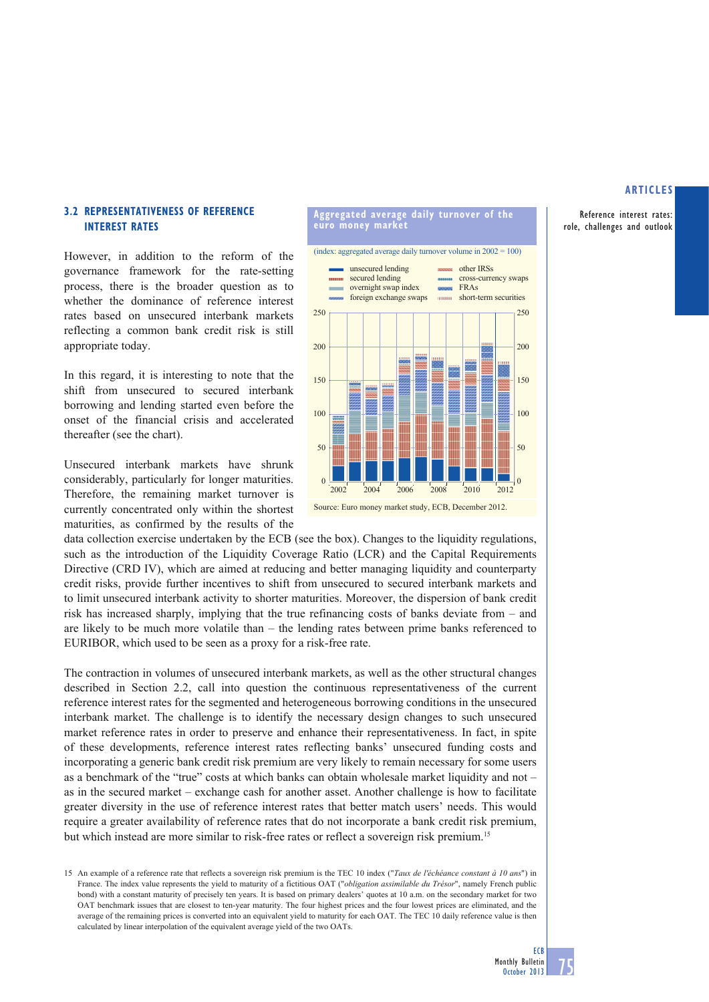Reference interest rates: role, challenges and outlook

# **3.2 REPRESENTATIVENESS OF REFERENCE INTEREST RATES**

However, in addition to the reform of the governance framework for the rate-setting process, there is the broader question as to whether the dominance of reference interest rates based on unsecured interbank markets reflecting a common bank credit risk is still appropriate today.

In this regard, it is interesting to note that the shift from unsecured to secured interbank borrowing and lending started even before the onset of the financial crisis and accelerated thereafter (see the chart).

Unsecured interbank markets have shrunk considerably, particularly for longer maturities. Therefore, the remaining market turnover is currently concentrated only within the shortest maturities, as confirmed by the results of the

data collection exercise undertaken by the ECB (see the box). Changes to the liquidity regulations, such as the introduction of the Liquidity Coverage Ratio (LCR) and the Capital Requirements Directive (CRD IV), which are aimed at reducing and better managing liquidity and counterparty credit risks, provide further incentives to shift from unsecured to secured interbank markets and to limit unsecured interbank activity to shorter maturities. Moreover, the dispersion of bank credit risk has increased sharply, implying that the true refinancing costs of banks deviate from – and are likely to be much more volatile than – the lending rates between prime banks referenced to EURIBOR, which used to be seen as a proxy for a risk-free rate.

The contraction in volumes of unsecured interbank markets, as well as the other structural changes described in Section 2.2, call into question the continuous representativeness of the current reference interest rates for the segmented and heterogeneous borrowing conditions in the unsecured interbank market. The challenge is to identify the necessary design changes to such unsecured market reference rates in order to preserve and enhance their representativeness. In fact, in spite of these developments, reference interest rates reflecting banks' unsecured funding costs and incorporating a generic bank credit risk premium are very likely to remain necessary for some users as a benchmark of the "true" costs at which banks can obtain wholesale market liquidity and not – as in the secured market – exchange cash for another asset. Another challenge is how to facilitate greater diversity in the use of reference interest rates that better match users' needs. This would require a greater availability of reference rates that do not incorporate a bank credit risk premium, but which instead are more similar to risk-free rates or reflect a sovereign risk premium.15



**Aggregated average daily turnover of the** 

(index: aggregated average daily turnover volume in  $2002 = 100$ )

**euro money market**

Source: Euro money market study, ECB, December 2012.

<sup>15</sup> An example of a reference rate that reflects a sovereign risk premium is the TEC 10 index ("*Taux de l'échéance constant à 10 ans*") in France. The index value represents the yield to maturity of a fictitious OAT ("*obligation assimilable du Trésor*", namely French public bond) with a constant maturity of precisely ten years. It is based on primary dealers' quotes at 10 a.m. on the secondary market for two OAT benchmark issues that are closest to ten-year maturity. The four highest prices and the four lowest prices are eliminated, and the average of the remaining prices is converted into an equivalent yield to maturity for each OAT. The TEC 10 daily reference value is then calculated by linear interpolation of the equivalent average yield of the two OATs.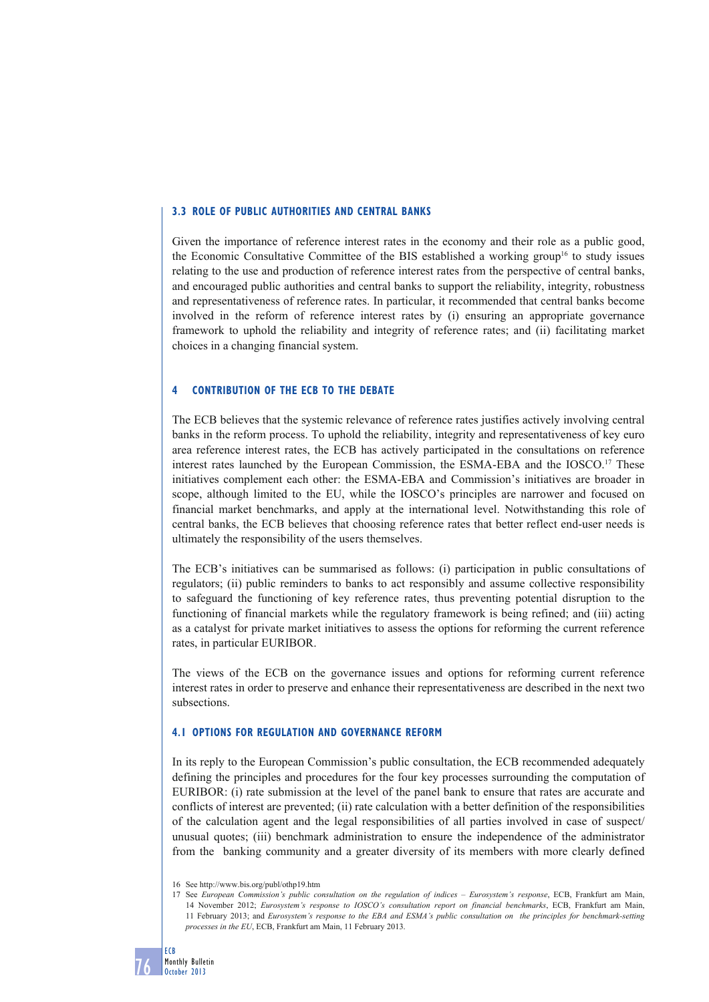## **3.3 ROLE OF PUBLIC AUTHORITIES AND CENTRAL BANKS**

Given the importance of reference interest rates in the economy and their role as a public good, the Economic Consultative Committee of the BIS established a working group16 to study issues relating to the use and production of reference interest rates from the perspective of central banks, and encouraged public authorities and central banks to support the reliability, integrity, robustness and representativeness of reference rates. In particular, it recommended that central banks become involved in the reform of reference interest rates by (i) ensuring an appropriate governance framework to uphold the reliability and integrity of reference rates; and (ii) facilitating market choices in a changing financial system.

#### **4 CONTRIBUTION OF THE ECB TO THE DEBATE**

The ECB believes that the systemic relevance of reference rates justifies actively involving central banks in the reform process. To uphold the reliability, integrity and representativeness of key euro area reference interest rates, the ECB has actively participated in the consultations on reference interest rates launched by the European Commission, the ESMA-EBA and the IOSCO.<sup>17</sup> These initiatives complement each other: the ESMA-EBA and Commission's initiatives are broader in scope, although limited to the EU, while the IOSCO's principles are narrower and focused on financial market benchmarks, and apply at the international level. Notwithstanding this role of central banks, the ECB believes that choosing reference rates that better reflect end-user needs is ultimately the responsibility of the users themselves.

The ECB's initiatives can be summarised as follows: (i) participation in public consultations of regulators; (ii) public reminders to banks to act responsibly and assume collective responsibility to safeguard the functioning of key reference rates, thus preventing potential disruption to the functioning of financial markets while the regulatory framework is being refined; and (iii) acting as a catalyst for private market initiatives to assess the options for reforming the current reference rates, in particular EURIBOR.

The views of the ECB on the governance issues and options for reforming current reference interest rates in order to preserve and enhance their representativeness are described in the next two subsections.

## **4.1 OPTIONS FOR REGULATION AND GOVERNANCE REFORM**

In its reply to the European Commission's public consultation, the ECB recommended adequately defining the principles and procedures for the four key processes surrounding the computation of EURIBOR: (i) rate submission at the level of the panel bank to ensure that rates are accurate and conflicts of interest are prevented; (ii) rate calculation with a better definition of the responsibilities of the calculation agent and the legal responsibilities of all parties involved in case of suspect/ unusual quotes; (iii) benchmark administration to ensure the independence of the administrator from the banking community and a greater diversity of its members with more clearly defined

<sup>16</sup> See http://www.bis.org/publ/othp19.htm

<sup>17</sup> See *European Commission's public consultation on the regulation of indices – Eurosystem's response*, ECB, Frankfurt am Main, 14 November 2012; *Eurosystem's response to IOSCO's consultation report on financial benchmarks*, ECB, Frankfurt am Main, 11 February 2013; and *Eurosystem's response to the EBA and ESMA's public consultation on the principles for benchmark-setting processes in the EU*, ECB, Frankfurt am Main, 11 February 2013.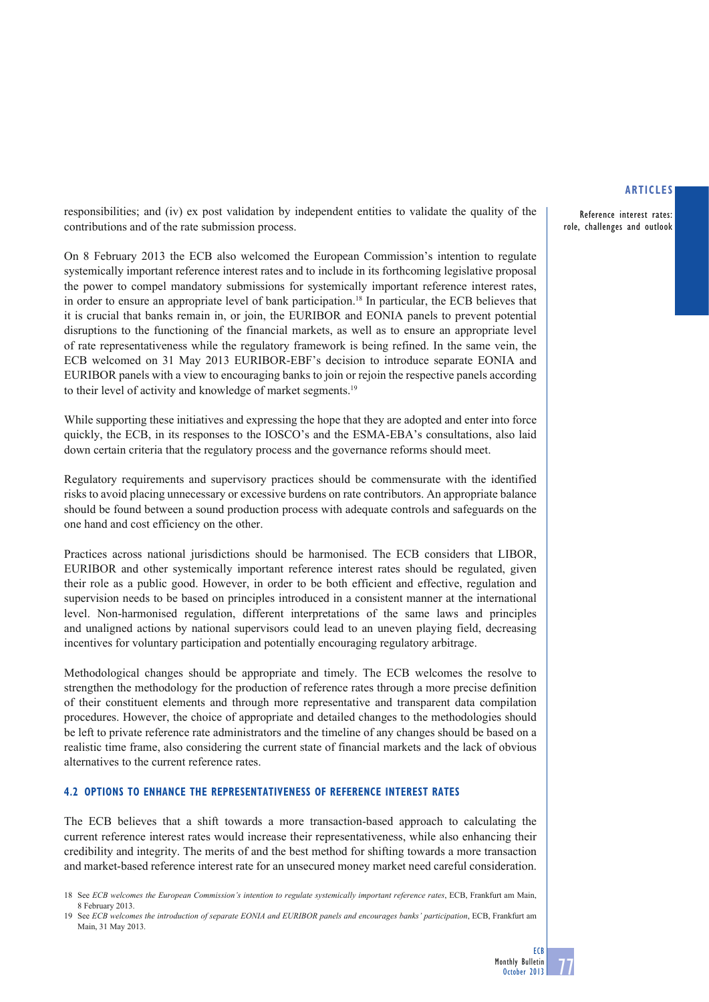Reference interest rates: role, challenges and outlook

responsibilities; and (iv) ex post validation by independent entities to validate the quality of the contributions and of the rate submission process.

On 8 February 2013 the ECB also welcomed the European Commission's intention to regulate systemically important reference interest rates and to include in its forthcoming legislative proposal the power to compel mandatory submissions for systemically important reference interest rates, in order to ensure an appropriate level of bank participation.18 In particular, the ECB believes that it is crucial that banks remain in, or join, the EURIBOR and EONIA panels to prevent potential disruptions to the functioning of the financial markets, as well as to ensure an appropriate level of rate representativeness while the regulatory framework is being refined. In the same vein, the ECB welcomed on 31 May 2013 EURIBOR-EBF's decision to introduce separate EONIA and EURIBOR panels with a view to encouraging banks to join or rejoin the respective panels according to their level of activity and knowledge of market segments.19

While supporting these initiatives and expressing the hope that they are adopted and enter into force quickly, the ECB, in its responses to the IOSCO's and the ESMA-EBA's consultations, also laid down certain criteria that the regulatory process and the governance reforms should meet.

Regulatory requirements and supervisory practices should be commensurate with the identified risks to avoid placing unnecessary or excessive burdens on rate contributors. An appropriate balance should be found between a sound production process with adequate controls and safeguards on the one hand and cost efficiency on the other.

Practices across national jurisdictions should be harmonised. The ECB considers that LIBOR, EURIBOR and other systemically important reference interest rates should be regulated, given their role as a public good. However, in order to be both efficient and effective, regulation and supervision needs to be based on principles introduced in a consistent manner at the international level. Non-harmonised regulation, different interpretations of the same laws and principles and unaligned actions by national supervisors could lead to an uneven playing field, decreasing incentives for voluntary participation and potentially encouraging regulatory arbitrage.

Methodological changes should be appropriate and timely. The ECB welcomes the resolve to strengthen the methodology for the production of reference rates through a more precise definition of their constituent elements and through more representative and transparent data compilation procedures. However, the choice of appropriate and detailed changes to the methodologies should be left to private reference rate administrators and the timeline of any changes should be based on a realistic time frame, also considering the current state of financial markets and the lack of obvious alternatives to the current reference rates.

# **4.2 OPTIONS TO ENHANCE THE REPRESENTATIVENESS OF REFERENCE INTEREST RATES**

The ECB believes that a shift towards a more transaction-based approach to calculating the current reference interest rates would increase their representativeness, while also enhancing their credibility and integrity. The merits of and the best method for shifting towards a more transaction and market-based reference interest rate for an unsecured money market need careful consideration.

<sup>18</sup> See *ECB welcomes the European Commission's intention to regulate systemically important reference rates*, ECB, Frankfurt am Main, 8 February 2013.

<sup>19</sup> See *ECB welcomes the introduction of separate EONIA and EURIBOR panels and encourages banks' participation*, ECB, Frankfurt am Main, 31 May 2013.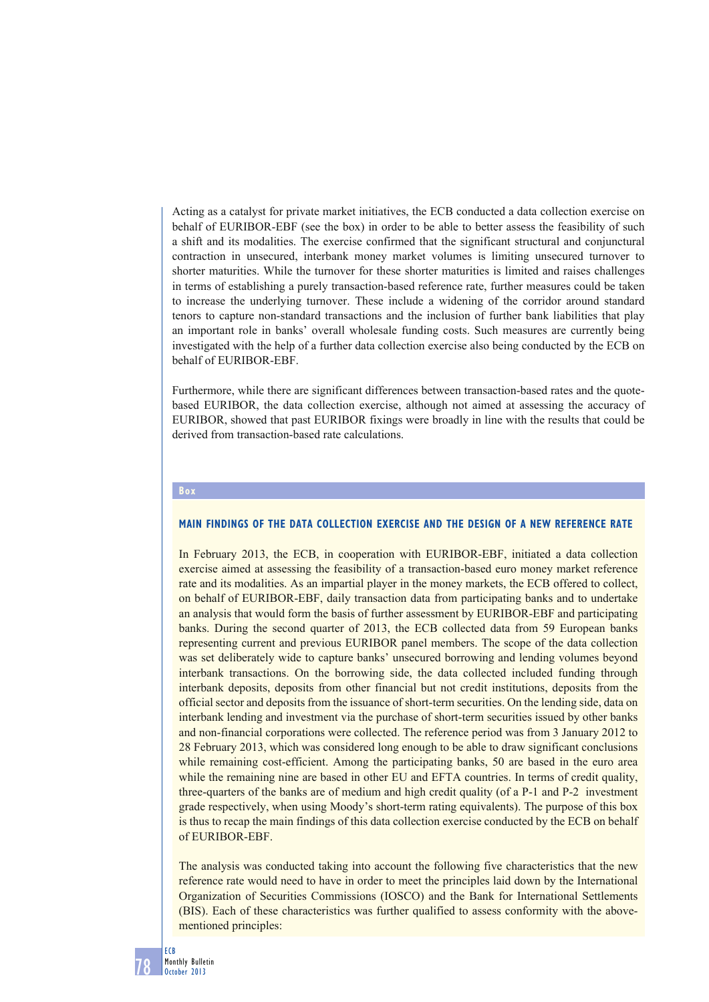Acting as a catalyst for private market initiatives, the ECB conducted a data collection exercise on behalf of EURIBOR-EBF (see the box) in order to be able to better assess the feasibility of such a shift and its modalities. The exercise confirmed that the significant structural and conjunctural contraction in unsecured, interbank money market volumes is limiting unsecured turnover to shorter maturities. While the turnover for these shorter maturities is limited and raises challenges in terms of establishing a purely transaction-based reference rate, further measures could be taken to increase the underlying turnover. These include a widening of the corridor around standard tenors to capture non-standard transactions and the inclusion of further bank liabilities that play an important role in banks' overall wholesale funding costs. Such measures are currently being investigated with the help of a further data collection exercise also being conducted by the ECB on behalf of EURIBOR-EBF.

Furthermore, while there are significant differences between transaction-based rates and the quotebased EURIBOR, the data collection exercise, although not aimed at assessing the accuracy of EURIBOR, showed that past EURIBOR fixings were broadly in line with the results that could be derived from transaction-based rate calculations.

## **Box**

#### **MAIN FINDINGS OF THE DATA COLLECTION EXERCISE AND THE DESIGN OF A NEW REFERENCE RATE**

In February 2013, the ECB, in cooperation with EURIBOR-EBF, initiated a data collection exercise aimed at assessing the feasibility of a transaction-based euro money market reference rate and its modalities. As an impartial player in the money markets, the ECB offered to collect, on behalf of EURIBOR-EBF, daily transaction data from participating banks and to undertake an analysis that would form the basis of further assessment by EURIBOR-EBF and participating banks. During the second quarter of 2013, the ECB collected data from 59 European banks representing current and previous EURIBOR panel members. The scope of the data collection was set deliberately wide to capture banks' unsecured borrowing and lending volumes beyond interbank transactions. On the borrowing side, the data collected included funding through interbank deposits, deposits from other financial but not credit institutions, deposits from the official sector and deposits from the issuance of short-term securities. On the lending side, data on interbank lending and investment via the purchase of short-term securities issued by other banks and non-financial corporations were collected. The reference period was from 3 January 2012 to 28 February 2013, which was considered long enough to be able to draw significant conclusions while remaining cost-efficient. Among the participating banks, 50 are based in the euro area while the remaining nine are based in other EU and EFTA countries. In terms of credit quality, three-quarters of the banks are of medium and high credit quality (of a P-1 and P-2 investment grade respectively, when using Moody's short-term rating equivalents). The purpose of this box is thus to recap the main findings of this data collection exercise conducted by the ECB on behalf of EURIBOR-EBF.

The analysis was conducted taking into account the following five characteristics that the new reference rate would need to have in order to meet the principles laid down by the International Organization of Securities Commissions (IOSCO) and the Bank for International Settlements (BIS). Each of these characteristics was further qualified to assess conformity with the abovementioned principles: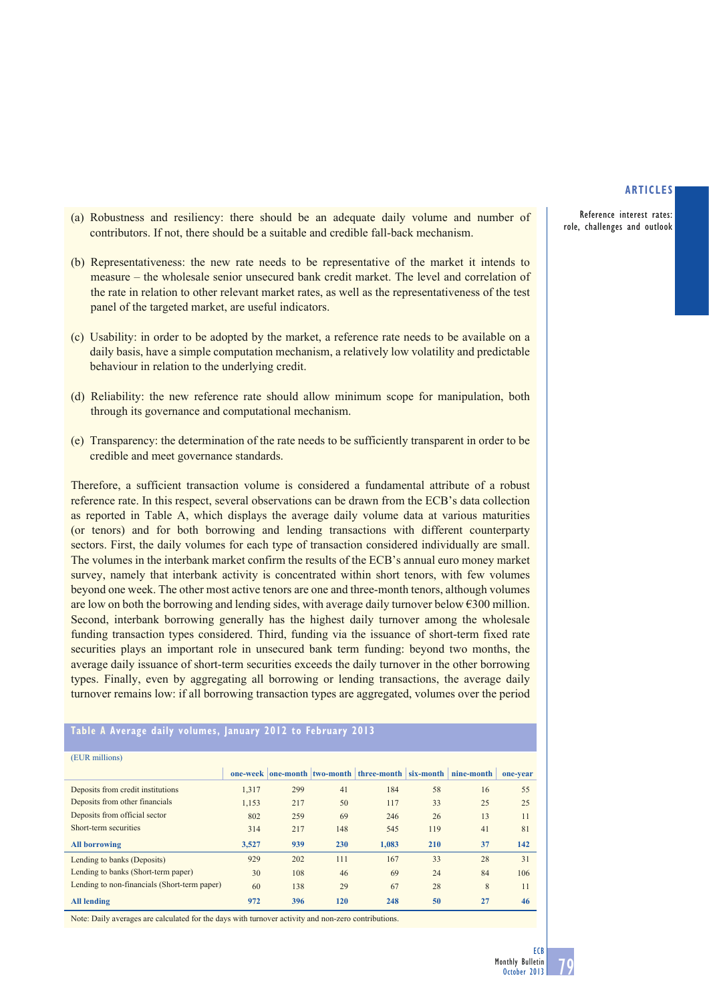Reference interest rates: role, challenges and outlook

- (a) Robustness and resiliency: there should be an adequate daily volume and number of contributors. If not, there should be a suitable and credible fall-back mechanism.
- (b) Representativeness: the new rate needs to be representative of the market it intends to measure – the wholesale senior unsecured bank credit market. The level and correlation of the rate in relation to other relevant market rates, as well as the representativeness of the test panel of the targeted market, are useful indicators.
- (c) Usability: in order to be adopted by the market, a reference rate needs to be available on a daily basis, have a simple computation mechanism, a relatively low volatility and predictable behaviour in relation to the underlying credit.
- (d) Reliability: the new reference rate should allow minimum scope for manipulation, both through its governance and computational mechanism.
- (e) Transparency: the determination of the rate needs to be sufficiently transparent in order to be credible and meet governance standards.

Therefore, a sufficient transaction volume is considered a fundamental attribute of a robust reference rate. In this respect, several observations can be drawn from the ECB's data collection as reported in Table A, which displays the average daily volume data at various maturities (or tenors) and for both borrowing and lending transactions with different counterparty sectors. First, the daily volumes for each type of transaction considered individually are small. The volumes in the interbank market confirm the results of the ECB's annual euro money market survey, namely that interbank activity is concentrated within short tenors, with few volumes beyond one week. The other most active tenors are one and three-month tenors, although volumes are low on both the borrowing and lending sides, with average daily turnover below €300 million. Second, interbank borrowing generally has the highest daily turnover among the wholesale funding transaction types considered. Third, funding via the issuance of short-term fixed rate securities plays an important role in unsecured bank term funding: beyond two months, the average daily issuance of short-term securities exceeds the daily turnover in the other borrowing types. Finally, even by aggregating all borrowing or lending transactions, the average daily turnover remains low: if all borrowing transaction types are aggregated, volumes over the period

#### **Table A Average daily volumes, January 2012 to February 2013**

| (EUR millions)                               |       |     |     |                                                    |            |            |          |
|----------------------------------------------|-------|-----|-----|----------------------------------------------------|------------|------------|----------|
|                                              |       |     |     | one-week one-month two-month three-month six-month |            | nine-month | one-vear |
| Deposits from credit institutions            | 1,317 | 299 | 41  | 184                                                | 58         | 16         | 55       |
| Deposits from other financials               | 1.153 | 217 | 50  | 117                                                | 33         | 25         | 25       |
| Deposits from official sector                | 802   | 259 | 69  | 246                                                | 26         | 13         | 11       |
| Short-term securities                        | 314   | 217 | 148 | 545                                                | 119        | 41         | 81       |
| <b>All borrowing</b>                         | 3.527 | 939 | 230 | 1.083                                              | <b>210</b> | 37         | 142      |
| Lending to banks (Deposits)                  | 929   | 202 | 111 | 167                                                | 33         | 28         | 31       |
| Lending to banks (Short-term paper)          | 30    | 108 | 46  | 69                                                 | 24         | 84         | 106      |
| Lending to non-financials (Short-term paper) | 60    | 138 | 29  | 67                                                 | 28         | 8          | 11       |
| <b>All lending</b>                           | 972   | 396 | 120 | 248                                                | 50         | 27         | 46       |

Note: Daily averages are calculated for the days with turnover activity and non-zero contributions.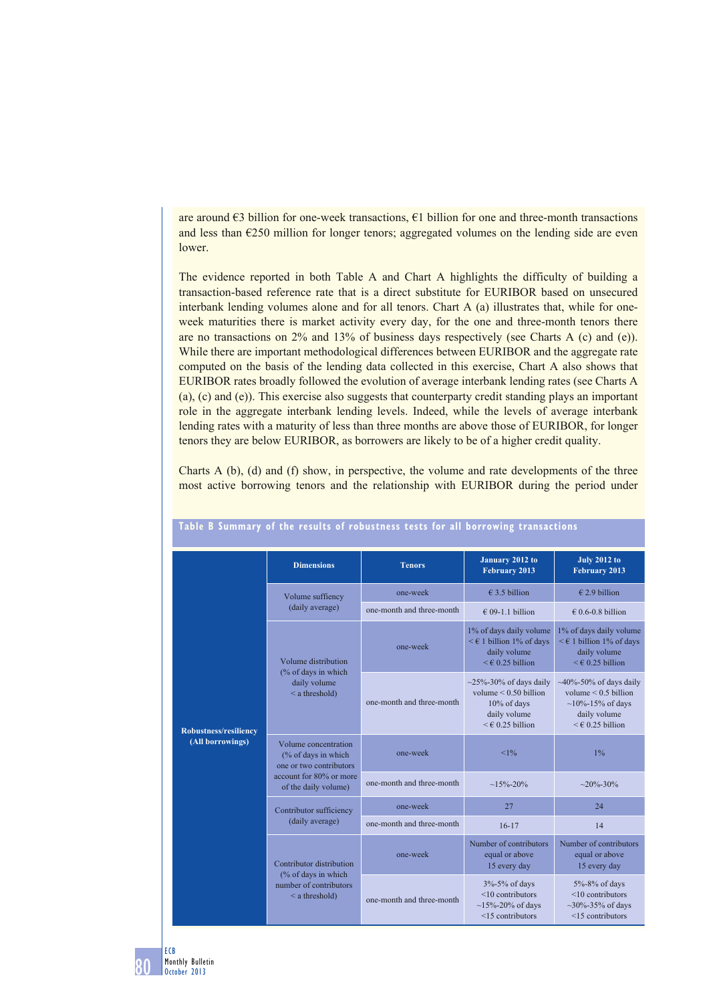are around  $\epsilon$ 3 billion for one-week transactions,  $\epsilon$ 1 billion for one and three-month transactions and less than  $\epsilon$ 250 million for longer tenors; aggregated volumes on the lending side are even lower.

The evidence reported in both Table A and Chart A highlights the difficulty of building a transaction-based reference rate that is a direct substitute for EURIBOR based on unsecured interbank lending volumes alone and for all tenors. Chart A (a) illustrates that, while for oneweek maturities there is market activity every day, for the one and three-month tenors there are no transactions on 2% and 13% of business days respectively (see Charts A (c) and (e)). While there are important methodological differences between EURIBOR and the aggregate rate computed on the basis of the lending data collected in this exercise, Chart A also shows that EURIBOR rates broadly followed the evolution of average interbank lending rates (see Charts A (a), (c) and (e)). This exercise also suggests that counterparty credit standing plays an important role in the aggregate interbank lending levels. Indeed, while the levels of average interbank lending rates with a maturity of less than three months are above those of EURIBOR, for longer tenors they are below EURIBOR, as borrowers are likely to be of a higher credit quality.

Charts A (b), (d) and (f) show, in perspective, the volume and rate developments of the three most active borrowing tenors and the relationship with EURIBOR during the period under

| <b>Robustness/resiliency</b><br>(All borrowings) | <b>Dimensions</b>                                                      | <b>Tenors</b>             | January 2012 to<br>February 2013                                                                                          | <b>July 2012 to</b><br><b>February 2013</b>                                                                                         |  |
|--------------------------------------------------|------------------------------------------------------------------------|---------------------------|---------------------------------------------------------------------------------------------------------------------------|-------------------------------------------------------------------------------------------------------------------------------------|--|
|                                                  | Volume suffiency                                                       | one-week                  | € 3.5 billion                                                                                                             | $€$ 2.9 billion                                                                                                                     |  |
|                                                  | (daily average)                                                        | one-month and three-month | $\in$ 09-1.1 billion                                                                                                      | $\in$ 0.6-0.8 billion                                                                                                               |  |
|                                                  | Volume distribution                                                    | one-week                  | 1% of days daily volume<br>$\leq \epsilon$ 1 billion 1% of days<br>daily volume<br>$\leq \epsilon$ 0.25 billion           | 1% of days daily volume<br>$\leq$ € 1 billion 1% of days<br>daily volume<br>$\leq \epsilon$ 0.25 billion                            |  |
|                                                  | (% of days in which<br>daily volume<br>$\leq$ a threshold)             | one-month and three-month | $\sim$ 25%-30% of days daily<br>volume $\leq 0.50$ billion<br>10% of days<br>daily volume<br>$\leq \epsilon$ 0.25 billion | $\sim$ 40%-50% of days daily<br>volume $\leq 0.5$ billion<br>$\sim$ 10%-15% of days<br>daily volume<br>$\leq \epsilon$ 0.25 billion |  |
|                                                  | Volume concentration<br>(% of days in which<br>one or two contributors | one-week                  | <1%                                                                                                                       | 1%                                                                                                                                  |  |
|                                                  | account for 80% or more<br>of the daily volume)                        | one-month and three-month | $~15\% - 20\%$                                                                                                            | $\sim$ 20%-30%                                                                                                                      |  |
|                                                  | Contributor sufficiency                                                | one-week                  | 27                                                                                                                        | 24                                                                                                                                  |  |
|                                                  | (daily average)                                                        | one-month and three-month | $16 - 17$                                                                                                                 | 14                                                                                                                                  |  |
|                                                  | Contributor distribution                                               | one-week                  | Number of contributors<br>equal or above<br>15 every day                                                                  | Number of contributors<br>equal or above<br>15 every day                                                                            |  |
|                                                  | (% of days in which<br>number of contributors<br>$\leq$ a threshold)   | one-month and three-month | 3%-5% of days<br>$<$ 10 contributors<br>$~15\% - 20\%$ of days<br>$<$ 15 contributors                                     | 5%-8% of days<br>$<$ 10 contributors<br>$\sim$ 30%-35% of days<br>$\leq$ 15 contributors                                            |  |

# **Table B Summary of the results of robustness tests for all borrowing transactions**

80 ECB Monthly Bulletin October 2013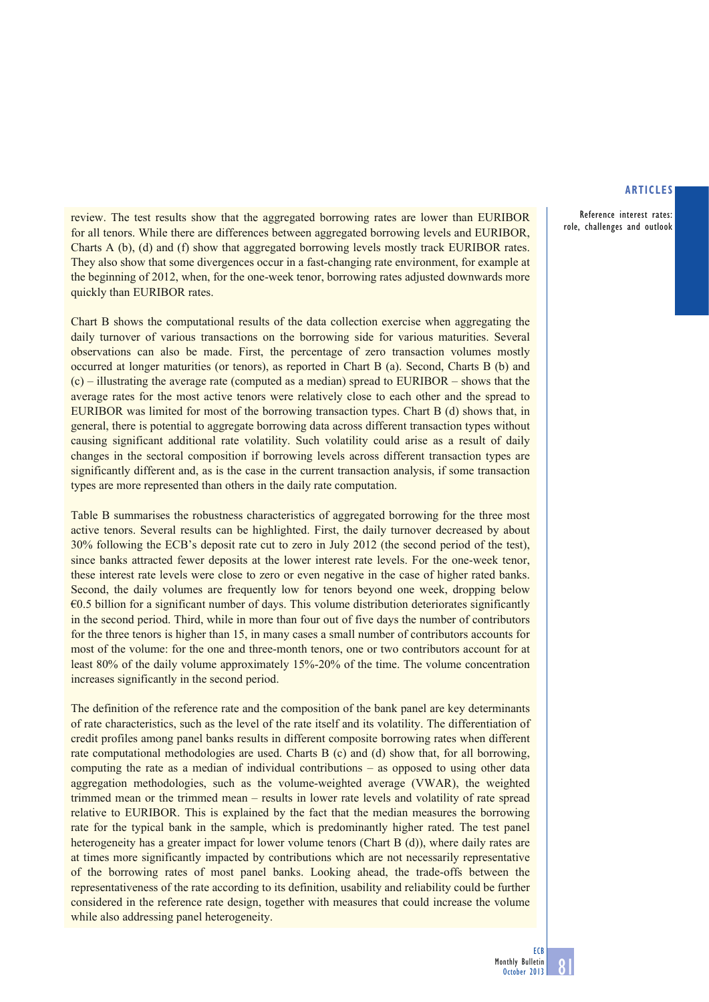Reference interest rates: role, challenges and outlook

review. The test results show that the aggregated borrowing rates are lower than EURIBOR for all tenors. While there are differences between aggregated borrowing levels and EURIBOR, Charts A (b), (d) and (f) show that aggregated borrowing levels mostly track EURIBOR rates. They also show that some divergences occur in a fast-changing rate environment, for example at the beginning of 2012, when, for the one-week tenor, borrowing rates adjusted downwards more quickly than EURIBOR rates.

Chart B shows the computational results of the data collection exercise when aggregating the daily turnover of various transactions on the borrowing side for various maturities. Several observations can also be made. First, the percentage of zero transaction volumes mostly occurred at longer maturities (or tenors), as reported in Chart B (a). Second, Charts B (b) and (c) – illustrating the average rate (computed as a median) spread to EURIBOR – shows that the average rates for the most active tenors were relatively close to each other and the spread to EURIBOR was limited for most of the borrowing transaction types. Chart B (d) shows that, in general, there is potential to aggregate borrowing data across different transaction types without causing significant additional rate volatility. Such volatility could arise as a result of daily changes in the sectoral composition if borrowing levels across different transaction types are significantly different and, as is the case in the current transaction analysis, if some transaction types are more represented than others in the daily rate computation.

Table B summarises the robustness characteristics of aggregated borrowing for the three most active tenors. Several results can be highlighted. First, the daily turnover decreased by about 30% following the ECB's deposit rate cut to zero in July 2012 (the second period of the test), since banks attracted fewer deposits at the lower interest rate levels. For the one-week tenor, these interest rate levels were close to zero or even negative in the case of higher rated banks. Second, the daily volumes are frequently low for tenors beyond one week, dropping below  $\epsilon$ 0.5 billion for a significant number of days. This volume distribution deteriorates significantly in the second period. Third, while in more than four out of five days the number of contributors for the three tenors is higher than 15, in many cases a small number of contributors accounts for most of the volume: for the one and three-month tenors, one or two contributors account for at least 80% of the daily volume approximately 15%-20% of the time. The volume concentration increases significantly in the second period.

The definition of the reference rate and the composition of the bank panel are key determinants of rate characteristics, such as the level of the rate itself and its volatility. The differentiation of credit profiles among panel banks results in different composite borrowing rates when different rate computational methodologies are used. Charts B (c) and (d) show that, for all borrowing, computing the rate as a median of individual contributions – as opposed to using other data aggregation methodologies, such as the volume-weighted average (VWAR), the weighted trimmed mean or the trimmed mean – results in lower rate levels and volatility of rate spread relative to EURIBOR. This is explained by the fact that the median measures the borrowing rate for the typical bank in the sample, which is predominantly higher rated. The test panel heterogeneity has a greater impact for lower volume tenors (Chart B (d)), where daily rates are at times more significantly impacted by contributions which are not necessarily representative of the borrowing rates of most panel banks. Looking ahead, the trade-offs between the representativeness of the rate according to its definition, usability and reliability could be further considered in the reference rate design, together with measures that could increase the volume while also addressing panel heterogeneity.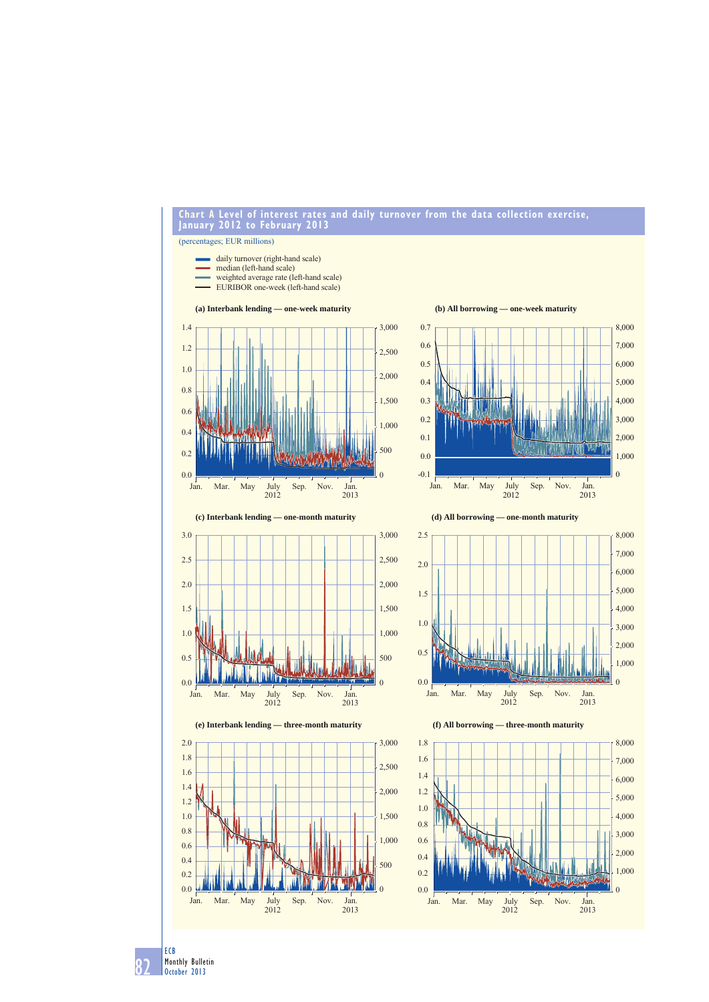

**Chart A Level of interest rates and daily turnover from the data collection exercise, January 2012 to February 2013**

82 ECB Monthly Bulletin October 2013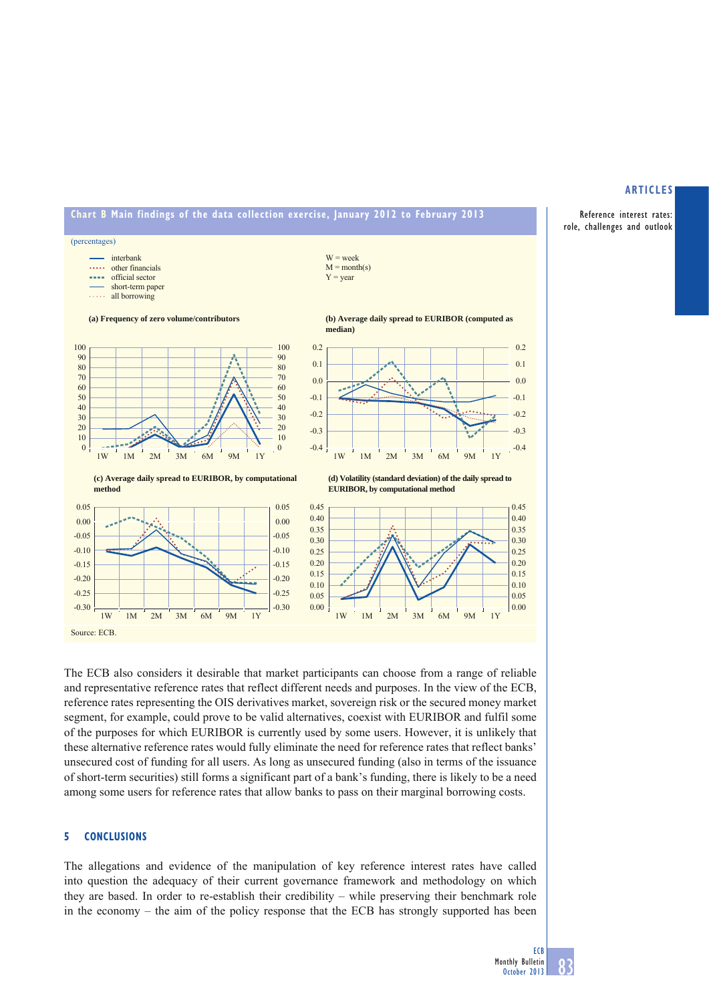





The ECB also considers it desirable that market participants can choose from a range of reliable and representative reference rates that reflect different needs and purposes. In the view of the ECB, reference rates representing the OIS derivatives market, sovereign risk or the secured money market segment, for example, could prove to be valid alternatives, coexist with EURIBOR and fulfil some of the purposes for which EURIBOR is currently used by some users. However, it is unlikely that these alternative reference rates would fully eliminate the need for reference rates that reflect banks' unsecured cost of funding for all users. As long as unsecured funding (also in terms of the issuance of short-term securities) still forms a significant part of a bank's funding, there is likely to be a need among some users for reference rates that allow banks to pass on their marginal borrowing costs.

# **5 CONCLUSIONS**

The allegations and evidence of the manipulation of key reference interest rates have called into question the adequacy of their current governance framework and methodology on which they are based. In order to re-establish their credibility – while preserving their benchmark role in the economy – the aim of the policy response that the ECB has strongly supported has been